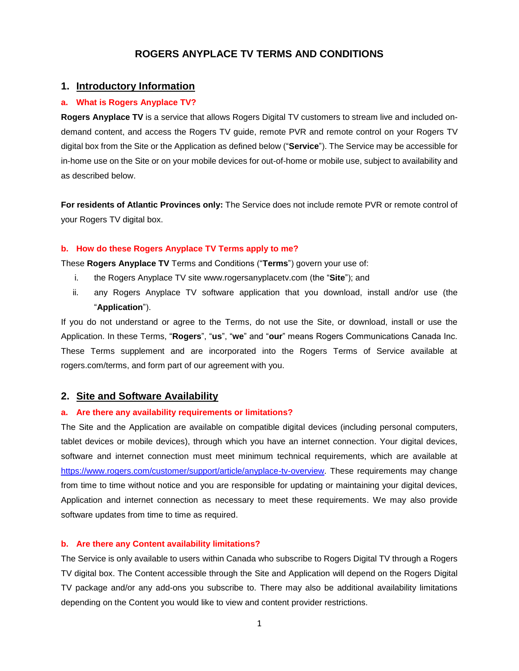# **ROGERS ANYPLACE TV TERMS AND CONDITIONS**

## **1. Introductory Information**

#### **a. What is Rogers Anyplace TV?**

**Rogers Anyplace TV** is a service that allows Rogers Digital TV customers to stream live and included ondemand content, and access the Rogers TV guide, remote PVR and remote control on your Rogers TV digital box from the Site or the Application as defined below ("**Service**"). The Service may be accessible for in-home use on the Site or on your mobile devices for out-of-home or mobile use, subject to availability and as described below.

**For residents of Atlantic Provinces only:** The Service does not include remote PVR or remote control of your Rogers TV digital box.

#### **b. How do these Rogers Anyplace TV Terms apply to me?**

These **Rogers Anyplace TV** Terms and Conditions ("**Terms**") govern your use of:

- i. the Rogers Anyplace TV site www.rogersanyplacetv.com (the "**Site**"); and
- ii. any Rogers Anyplace TV software application that you download, install and/or use (the "**Application**").

If you do not understand or agree to the Terms, do not use the Site, or download, install or use the Application. In these Terms, "**Rogers**", "**us**", "**we**" and "**our**" means Rogers Communications Canada Inc. These Terms supplement and are incorporated into the Rogers Terms of Service available at rogers.com/terms, and form part of our agreement with you.

#### **2. Site and Software Availability**

#### **a. Are there any availability requirements or limitations?**

The Site and the Application are available on compatible digital devices (including personal computers, tablet devices or mobile devices), through which you have an internet connection. Your digital devices, software and internet connection must meet minimum technical requirements, which are available at [https://www.rogers.com/customer/support/article/anyplace-tv-overview.](https://www.rogers.com/customer/support/article/anyplace-tv-overview) These requirements may change from time to time without notice and you are responsible for updating or maintaining your digital devices, Application and internet connection as necessary to meet these requirements. We may also provide software updates from time to time as required.

## **b. Are there any Content availability limitations?**

The Service is only available to users within Canada who subscribe to Rogers Digital TV through a Rogers TV digital box. The Content accessible through the Site and Application will depend on the Rogers Digital TV package and/or any add-ons you subscribe to. There may also be additional availability limitations depending on the Content you would like to view and content provider restrictions.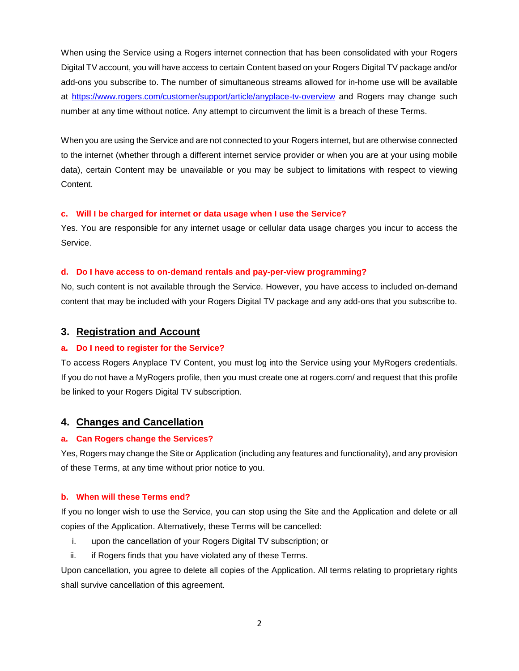When using the Service using a Rogers internet connection that has been consolidated with your Rogers Digital TV account, you will have access to certain Content based on your Rogers Digital TV package and/or add-ons you subscribe to. The number of simultaneous streams allowed for in-home use will be available at<https://www.rogers.com/customer/support/article/anyplace-tv-overview> and Rogers may change such number at any time without notice. Any attempt to circumvent the limit is a breach of these Terms.

When you are using the Service and are not connected to your Rogers internet, but are otherwise connected to the internet (whether through a different internet service provider or when you are at your using mobile data), certain Content may be unavailable or you may be subject to limitations with respect to viewing Content.

### **c. Will I be charged for internet or data usage when I use the Service?**

Yes. You are responsible for any internet usage or cellular data usage charges you incur to access the Service.

## **d. Do I have access to on-demand rentals and pay-per-view programming?**

No, such content is not available through the Service. However, you have access to included on-demand content that may be included with your Rogers Digital TV package and any add-ons that you subscribe to.

## **3. Registration and Account**

## **a. Do I need to register for the Service?**

To access Rogers Anyplace TV Content, you must log into the Service using your MyRogers credentials. If you do not have a MyRogers profile, then you must create one at rogers.com/ and request that this profile be linked to your Rogers Digital TV subscription.

# **4. Changes and Cancellation**

### **a. Can Rogers change the Services?**

Yes, Rogers may change the Site or Application (including any features and functionality), and any provision of these Terms, at any time without prior notice to you.

## **b. When will these Terms end?**

If you no longer wish to use the Service, you can stop using the Site and the Application and delete or all copies of the Application. Alternatively, these Terms will be cancelled:

- i. upon the cancellation of your Rogers Digital TV subscription; or
- ii. if Rogers finds that you have violated any of these Terms.

Upon cancellation, you agree to delete all copies of the Application. All terms relating to proprietary rights shall survive cancellation of this agreement.